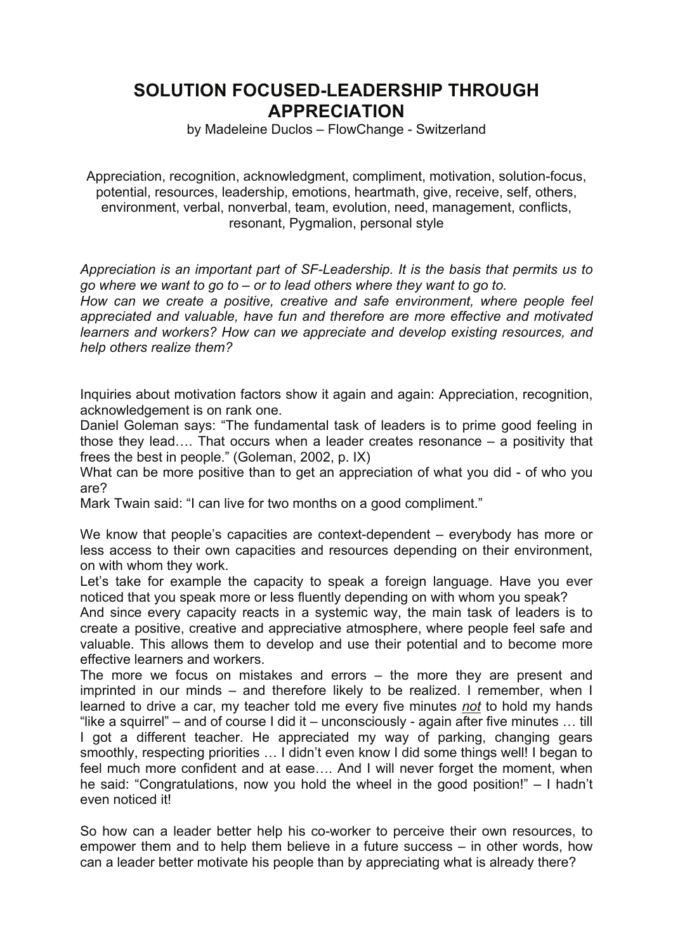# **SOLUTION FOCUSED-LEADERSHIP THROUGH APPRECIATION**

by Madeleine Duclos – FlowChange - Switzerland

Appreciation, recognition, acknowledgment, compliment, motivation, solution-focus, potential, resources, leadership, emotions, heartmath, give, receive, self, others, environment, verbal, nonverbal, team, evolution, need, management, conflicts, resonant, Pygmalion, personal style

*Appreciation is an important part of SF-Leadership. It is the basis that permits us to go where we want to go to – or to lead others where they want to go to. How can we create a positive, creative and safe environment, where people feel appreciated and valuable, have fun and therefore are more effective and motivated learners and workers? How can we appreciate and develop existing resources, and help others realize them?*

Inquiries about motivation factors show it again and again: Appreciation, recognition, acknowledgement is on rank one.

Daniel Goleman says: "The fundamental task of leaders is to prime good feeling in those they lead…. That occurs when a leader creates resonance – a positivity that frees the best in people." (Goleman, 2002, p. IX)

What can be more positive than to get an appreciation of what you did - of who you are?

Mark Twain said: "I can live for two months on a good compliment."

We know that people's capacities are context-dependent – everybody has more or less access to their own capacities and resources depending on their environment, on with whom they work.

Let's take for example the capacity to speak a foreign language. Have you ever noticed that you speak more or less fluently depending on with whom you speak?

And since every capacity reacts in a systemic way, the main task of leaders is to create a positive, creative and appreciative atmosphere, where people feel safe and valuable. This allows them to develop and use their potential and to become more effective learners and workers.

The more we focus on mistakes and errors – the more they are present and imprinted in our minds – and therefore likely to be realized. I remember, when I learned to drive a car, my teacher told me every five minutes *not* to hold my hands "like a squirrel" – and of course I did it – unconsciously - again after five minutes … till I got a different teacher. He appreciated my way of parking, changing gears smoothly, respecting priorities … I didn't even know I did some things well! I began to feel much more confident and at ease…. And I will never forget the moment, when he said: "Congratulations, now you hold the wheel in the good position!" – I hadn't even noticed it!

So how can a leader better help his co-worker to perceive their own resources, to empower them and to help them believe in a future success – in other words, how can a leader better motivate his people than by appreciating what is already there?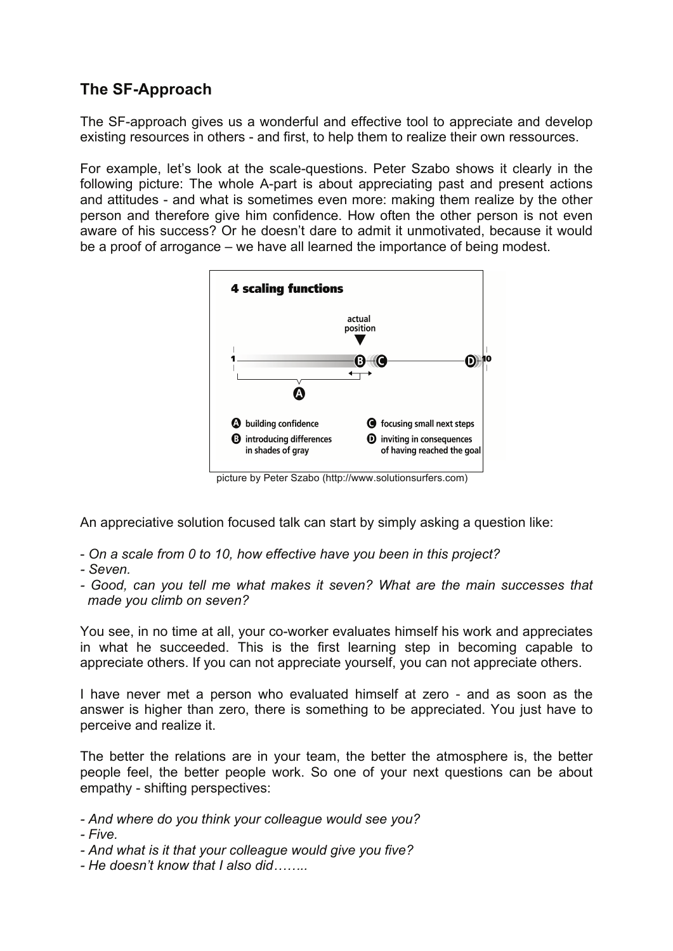#### **The SF-Approach**

The SF-approach gives us a wonderful and effective tool to appreciate and develop existing resources in others - and first, to help them to realize their own ressources.

For example, let's look at the scale-questions. Peter Szabo shows it clearly in the following picture: The whole A-part is about appreciating past and present actions and attitudes - and what is sometimes even more: making them realize by the other person and therefore give him confidence. How often the other person is not even aware of his success? Or he doesn't dare to admit it unmotivated, because it would be a proof of arrogance – we have all learned the importance of being modest.



picture by Peter Szabo (http://www.solutionsurfers.com)

An appreciative solution focused talk can start by simply asking a question like:

- *On a scale from 0 to 10, how effective have you been in this project?*
- *Seven.*
- *Good, can you tell me what makes it seven? What are the main successes that made you climb on seven?*

You see, in no time at all, your co-worker evaluates himself his work and appreciates in what he succeeded. This is the first learning step in becoming capable to appreciate others. If you can not appreciate yourself, you can not appreciate others.

I have never met a person who evaluated himself at zero - and as soon as the answer is higher than zero, there is something to be appreciated. You just have to perceive and realize it.

The better the relations are in your team, the better the atmosphere is, the better people feel, the better people work. So one of your next questions can be about empathy - shifting perspectives:

- *And where do you think your colleague would see you?*
- *Five.*
- *And what is it that your colleague would give you five?*
- *He doesn't know that I also did……..*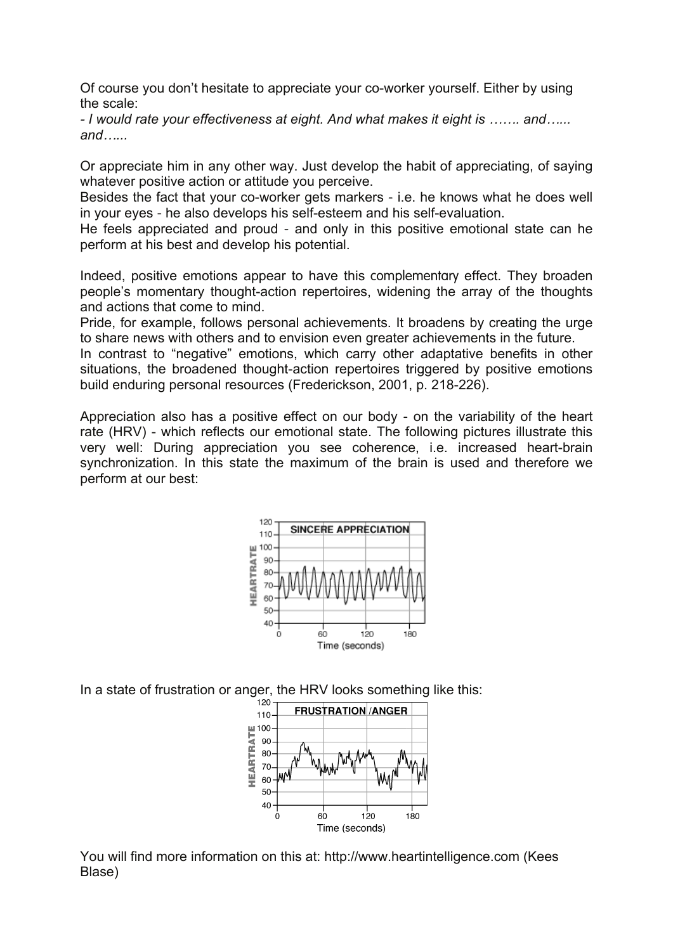Of course you don't hesitate to appreciate your co-worker yourself. Either by using the scale:

*- I would rate your effectiveness at eight. And what makes it eight is ……. and…... and…...*

Or appreciate him in any other way. Just develop the habit of appreciating, of saying whatever positive action or attitude you perceive.

Besides the fact that your co-worker gets markers - i.e. he knows what he does well in your eyes - he also develops his self-esteem and his self-evaluation.

He feels appreciated and proud - and only in this positive emotional state can he perform at his best and develop his potential.

Indeed, positive emotions appear to have this complementary effect. They broaden people's momentary thought-action repertoires, widening the array of the thoughts and actions that come to mind.

Pride, for example, follows personal achievements. It broadens by creating the urge to share news with others and to envision even greater achievements in the future.

In contrast to "negative" emotions, which carry other adaptative benefits in other situations, the broadened thought-action repertoires triggered by positive emotions build enduring personal resources (Frederickson, 2001, p. 218-226).

Appreciation also has a positive effect on our body - on the variability of the heart rate (HRV) - which reflects our emotional state. The following pictures illustrate this very well: During appreciation you see coherence, i.e. increased heart-brain synchronization. In this state the maximum of the brain is used and therefore we perform at our best:



In a state of frustration or anger, the HRV looks something like this:



You will find more information on this at: http://www.heartintelligence.com (Kees Blase)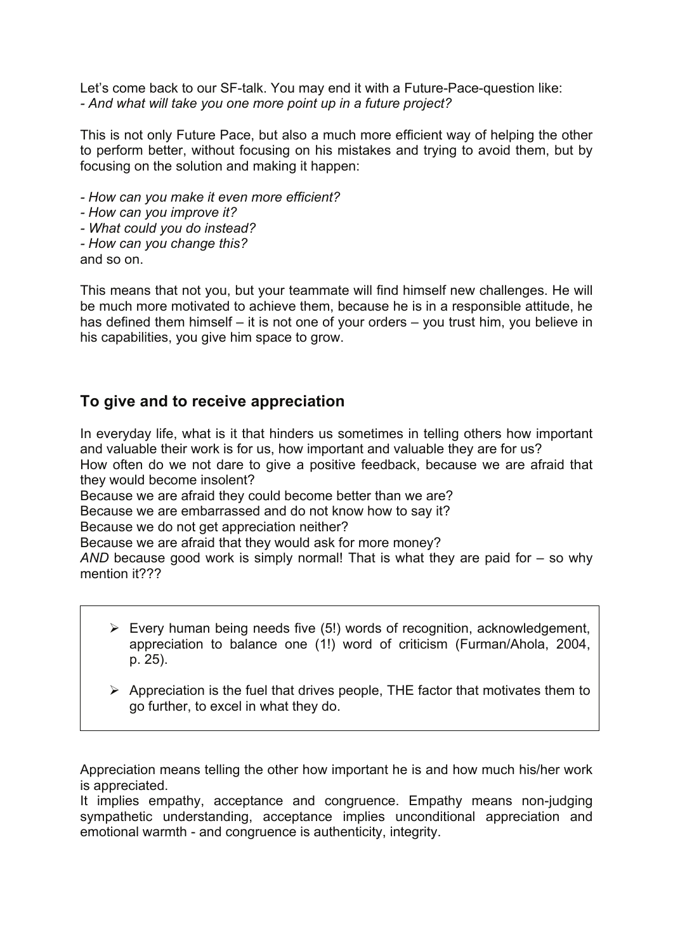Let's come back to our SF-talk. You may end it with a Future-Pace-question like: *- And what will take you one more point up in a future project?*

This is not only Future Pace, but also a much more efficient way of helping the other to perform better, without focusing on his mistakes and trying to avoid them, but by focusing on the solution and making it happen:

*- How can you make it even more efficient?*

*- How can you improve it?*

*- What could you do instead?*

*- How can you change this?*

and so on.

This means that not you, but your teammate will find himself new challenges. He will be much more motivated to achieve them, because he is in a responsible attitude, he has defined them himself – it is not one of your orders – you trust him, you believe in his capabilities, you give him space to grow.

#### **To give and to receive appreciation**

In everyday life, what is it that hinders us sometimes in telling others how important and valuable their work is for us, how important and valuable they are for us? How often do we not dare to give a positive feedback, because we are afraid that they would become insolent? Because we are afraid they could become better than we are?

Because we are embarrassed and do not know how to say it?

Because we do not get appreciation neither?

Because we are afraid that they would ask for more money?

*AND* because good work is simply normal! That is what they are paid for – so why mention it???

- $\triangleright$  Every human being needs five (5!) words of recognition, acknowledgement, appreciation to balance one (1!) word of criticism (Furman/Ahola, 2004, p. 25).
- $\triangleright$  Appreciation is the fuel that drives people, THE factor that motivates them to go further, to excel in what they do.

Appreciation means telling the other how important he is and how much his/her work is appreciated.

It implies empathy, acceptance and congruence. Empathy means non-judging sympathetic understanding, acceptance implies unconditional appreciation and emotional warmth - and congruence is authenticity, integrity.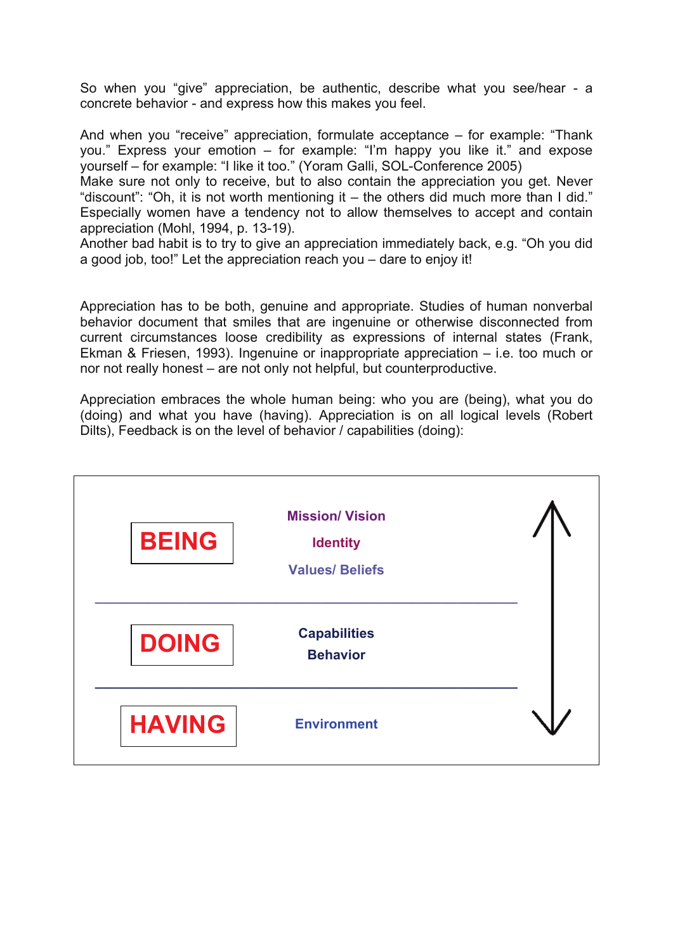So when you "give" appreciation, be authentic, describe what you see/hear - a concrete behavior - and express how this makes you feel.

And when you "receive" appreciation, formulate acceptance – for example: "Thank you." Express your emotion – for example: "I'm happy you like it." and expose yourself – for example: "I like it too." (Yoram Galli, SOL-Conference 2005)

Make sure not only to receive, but to also contain the appreciation you get. Never "discount": "Oh, it is not worth mentioning it – the others did much more than I did." Especially women have a tendency not to allow themselves to accept and contain appreciation (Mohl, 1994, p. 13-19).

Another bad habit is to try to give an appreciation immediately back, e.g. "Oh you did a good job, too!" Let the appreciation reach you – dare to enjoy it!

Appreciation has to be both, genuine and appropriate. Studies of human nonverbal behavior document that smiles that are ingenuine or otherwise disconnected from current circumstances loose credibility as expressions of internal states (Frank, Ekman & Friesen, 1993). Ingenuine or inappropriate appreciation – i.e. too much or nor not really honest – are not only not helpful, but counterproductive.

Appreciation embraces the whole human being: who you are (being), what you do (doing) and what you have (having). Appreciation is on all logical levels (Robert Dilts), Feedback is on the level of behavior / capabilities (doing):

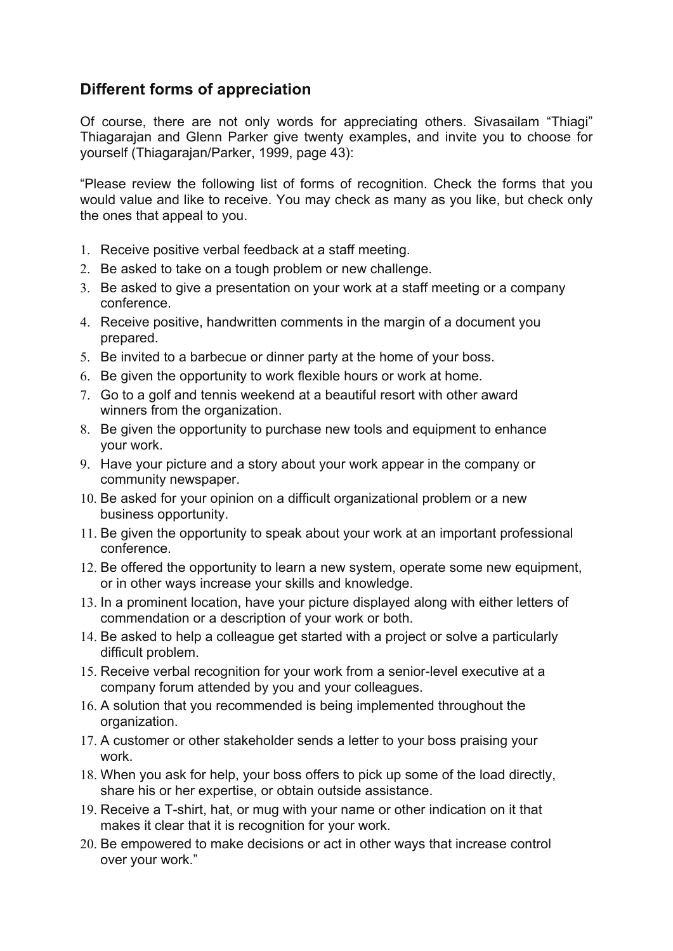### **Different forms of appreciation**

Of course, there are not only words for appreciating others. Sivasailam "Thiagi" Thiagarajan and Glenn Parker give twenty examples, and invite you to choose for yourself (Thiagarajan/Parker, 1999, page 43):

"Please review the following list of forms of recognition. Check the forms that you would value and like to receive. You may check as many as you like, but check only the ones that appeal to you.

- 1. Receive positive verbal feedback at a staff meeting.
- 2. Be asked to take on a tough problem or new challenge.
- 3. Be asked to give a presentation on your work at a staff meeting or a company conference.
- 4. Receive positive, handwritten comments in the margin of a document you prepared.
- 5. Be invited to a barbecue or dinner party at the home of your boss.
- 6. Be given the opportunity to work flexible hours or work at home.
- 7. Go to a golf and tennis weekend at a beautiful resort with other award winners from the organization.
- 8. Be given the opportunity to purchase new tools and equipment to enhance your work.
- 9. Have your picture and a story about your work appear in the company or community newspaper.
- 10. Be asked for your opinion on a difficult organizational problem or a new business opportunity.
- 11. Be given the opportunity to speak about your work at an important professional conference.
- 12. Be offered the opportunity to learn a new system, operate some new equipment, or in other ways increase your skills and knowledge.
- 13. In a prominent location, have your picture displayed along with either letters of commendation or a description of your work or both.
- 14. Be asked to help a colleague get started with a project or solve a particularly difficult problem.
- 15. Receive verbal recognition for your work from a senior-level executive at a company forum attended by you and your colleagues.
- 16. A solution that you recommended is being implemented throughout the organization.
- 17. A customer or other stakeholder sends a letter to your boss praising your work.
- 18. When you ask for help, your boss offers to pick up some of the load directly, share his or her expertise, or obtain outside assistance.
- 19. Receive a T-shirt, hat, or mug with your name or other indication on it that makes it clear that it is recognition for your work.
- 20. Be empowered to make decisions or act in other ways that increase control over your work."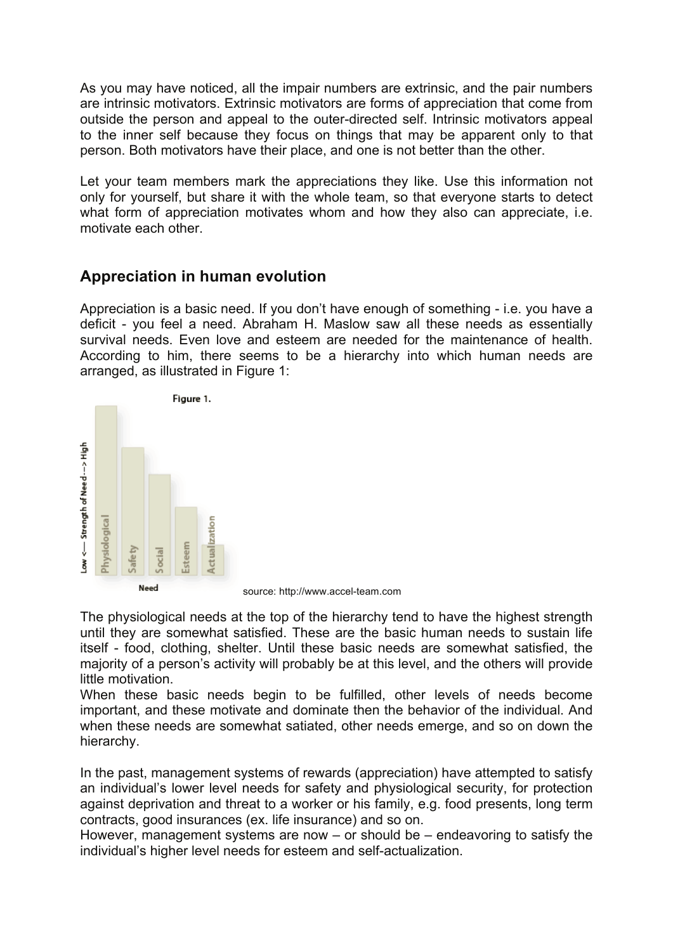As you may have noticed, all the impair numbers are extrinsic, and the pair numbers are intrinsic motivators. Extrinsic motivators are forms of appreciation that come from outside the person and appeal to the outer-directed self. Intrinsic motivators appeal to the inner self because they focus on things that may be apparent only to that person. Both motivators have their place, and one is not better than the other.

Let your team members mark the appreciations they like. Use this information not only for yourself, but share it with the whole team, so that everyone starts to detect what form of appreciation motivates whom and how they also can appreciate, i.e. motivate each other.

## **Appreciation in human evolution**

Appreciation is a basic need. If you don't have enough of something - i.e. you have a deficit - you feel a need. Abraham H. Maslow saw all these needs as essentially survival needs. Even love and esteem are needed for the maintenance of health. According to him, there seems to be a hierarchy into which human needs are arranged, as illustrated in Figure 1:



source: http://www.accel-team.com

The physiological needs at the top of the hierarchy tend to have the highest strength until they are somewhat satisfied. These are the basic human needs to sustain life itself - food, clothing, shelter. Until these basic needs are somewhat satisfied, the majority of a person's activity will probably be at this level, and the others will provide little motivation.

When these basic needs begin to be fulfilled, other levels of needs become important, and these motivate and dominate then the behavior of the individual. And when these needs are somewhat satiated, other needs emerge, and so on down the hierarchy.

In the past, management systems of rewards (appreciation) have attempted to satisfy an individual's lower level needs for safety and physiological security, for protection against deprivation and threat to a worker or his family, e.g. food presents, long term contracts, good insurances (ex. life insurance) and so on.

However, management systems are now – or should be – endeavoring to satisfy the individual's higher level needs for esteem and self-actualization.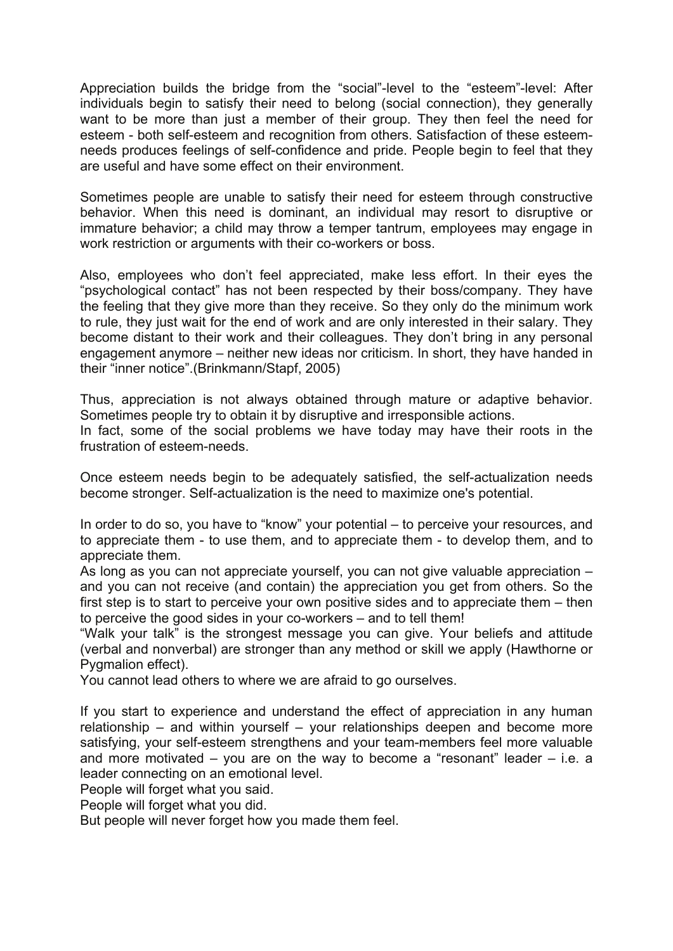Appreciation builds the bridge from the "social"-level to the "esteem"-level: After individuals begin to satisfy their need to belong (social connection), they generally want to be more than just a member of their group. They then feel the need for esteem - both self-esteem and recognition from others. Satisfaction of these esteemneeds produces feelings of self-confidence and pride. People begin to feel that they are useful and have some effect on their environment.

Sometimes people are unable to satisfy their need for esteem through constructive behavior. When this need is dominant, an individual may resort to disruptive or immature behavior; a child may throw a temper tantrum, employees may engage in work restriction or arguments with their co-workers or boss.

Also, employees who don't feel appreciated, make less effort. In their eyes the "psychological contact" has not been respected by their boss/company. They have the feeling that they give more than they receive. So they only do the minimum work to rule, they just wait for the end of work and are only interested in their salary. They become distant to their work and their colleagues. They don't bring in any personal engagement anymore – neither new ideas nor criticism. In short, they have handed in their "inner notice".(Brinkmann/Stapf, 2005)

Thus, appreciation is not always obtained through mature or adaptive behavior. Sometimes people try to obtain it by disruptive and irresponsible actions.

In fact, some of the social problems we have today may have their roots in the frustration of esteem-needs.

Once esteem needs begin to be adequately satisfied, the self-actualization needs become stronger. Self-actualization is the need to maximize one's potential.

In order to do so, you have to "know" your potential – to perceive your resources, and to appreciate them - to use them, and to appreciate them - to develop them, and to appreciate them.

As long as you can not appreciate yourself, you can not give valuable appreciation – and you can not receive (and contain) the appreciation you get from others. So the first step is to start to perceive your own positive sides and to appreciate them – then to perceive the good sides in your co-workers – and to tell them!

"Walk your talk" is the strongest message you can give. Your beliefs and attitude (verbal and nonverbal) are stronger than any method or skill we apply (Hawthorne or Pygmalion effect).

You cannot lead others to where we are afraid to go ourselves.

If you start to experience and understand the effect of appreciation in any human relationship – and within yourself – your relationships deepen and become more satisfying, your self-esteem strengthens and your team-members feel more valuable and more motivated – you are on the way to become a "resonant" leader – i.e. a leader connecting on an emotional level.

People will forget what you said.

People will forget what you did.

But people will never forget how you made them feel.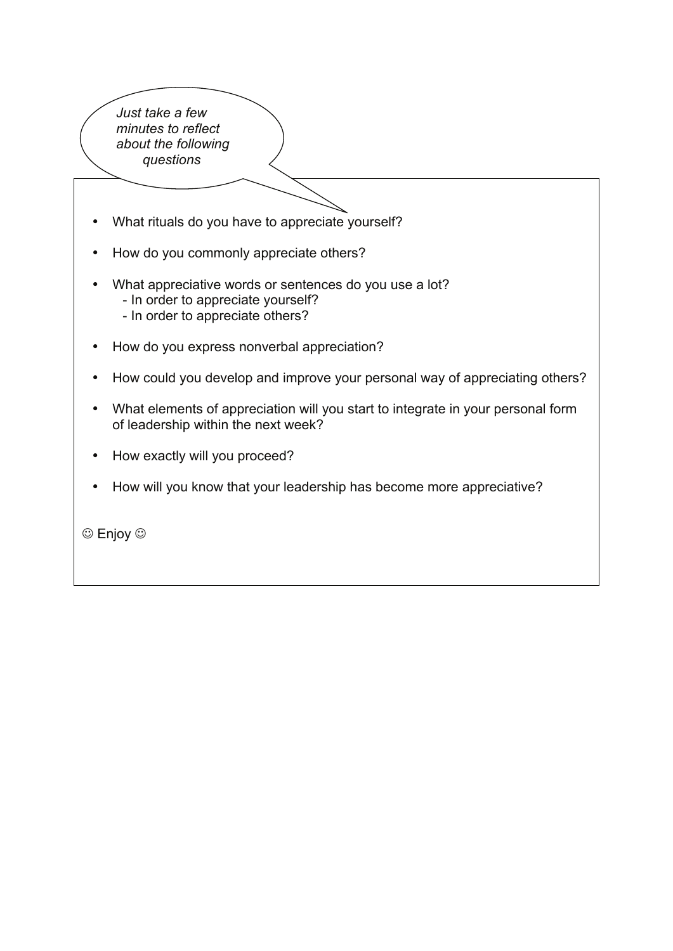*Just take a few minutes to reflect about the following questions*

- What rituals do you have to appreciate yourself?
- How do you commonly appreciate others?
- What appreciative words or sentences do you use a lot?
	- In order to appreciate yourself?
	- In order to appreciate others?
- How do you express nonverbal appreciation?
- How could you develop and improve your personal way of appreciating others?
- What elements of appreciation will you start to integrate in your personal form of leadership within the next week?
- How exactly will you proceed?
- How will you know that your leadership has become more appreciative?

 $\circledcirc$  Enjoy  $\circledcirc$